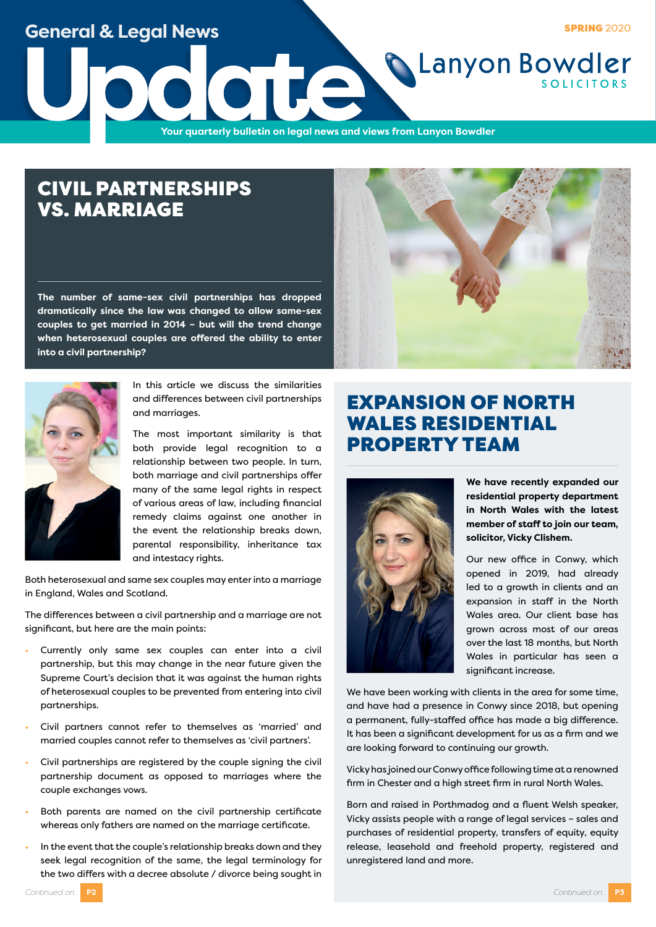**General & Legal News**

**SPRING 2020** 

**CLanyon Bowdler** 

**Update**<br>The Vour quarterly bulletin on legal news and v **Your quarterly bulletin on legal news and views from Lanyon Bowdler**

# CIVIL PARTNERSHIPS VS. MARRIAGE

**The number of same-sex civil partnerships has dropped dramatically since the law was changed to allow same-sex couples to get married in 2014 – but will the trend change when heterosexual couples are offered the ability to enter into a civil partnership?**





In this article we discuss the similarities and differences between civil partnerships and marriages.

The most important similarity is that both provide legal recognition to a relationship between two people. In turn, both marriage and civil partnerships offer many of the same legal rights in respect of various areas of law, including financial remedy claims against one another in the event the relationship breaks down, parental responsibility, inheritance tax and intestacy rights.

Both heterosexual and same sex couples may enter into a marriage in England, Wales and Scotland.

The differences between a civil partnership and a marriage are not significant, but here are the main points:

- Currently only same sex couples can enter into a civil partnership, but this may change in the near future given the Supreme Court's decision that it was against the human rights of heterosexual couples to be prevented from entering into civil partnerships.
- Civil partners cannot refer to themselves as 'married' and married couples cannot refer to themselves as 'civil partners'.
- Civil partnerships are registered by the couple signing the civil partnership document as opposed to marriages where the couple exchanges vows.
- Both parents are named on the civil partnership certificate whereas only fathers are named on the marriage certificate.
- In the event that the couple's relationship breaks down and they seek legal recognition of the same, the legal terminology for the two differs with a decree absolute / divorce being sought in

# EXPANSION OF NORTH WALES RESIDENTIAL PROPERTY TEAM



**We have recently expanded our residential property department in North Wales with the latest member of staff to join our team, solicitor, Vicky Clishem.**

Our new office in Conwy, which opened in 2019, had already led to a growth in clients and an expansion in staff in the North Wales area. Our client base has grown across most of our areas over the last 18 months, but North Wales in particular has seen a significant increase.

We have been working with clients in the area for some time, and have had a presence in Conwy since 2018, but opening a permanent, fully-staffed office has made a big difference. It has been a significant development for us as a firm and we are looking forward to continuing our growth.

Vicky has joined our Conwy office following time at a renowned firm in Chester and a high street firm in rural North Wales.

Born and raised in Porthmadog and a fluent Welsh speaker, Vicky assists people with a range of legal services – sales and purchases of residential property, transfers of equity, equity release, leasehold and freehold property, registered and unregistered land and more.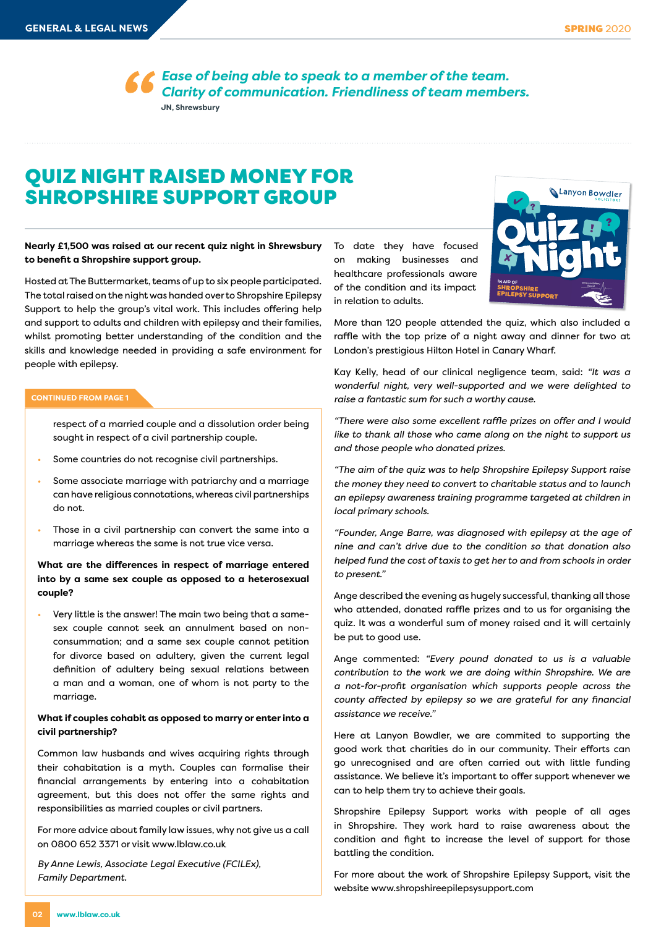**SPRING 2020** 

*Ease of being able to speak to a member of the team. Clarity of communication. Friendliness of team members.*  **JN, Shrewsbury**

# QUIZ NIGHT RAISED MONEY FOR SHROPSHIRE SUPPORT GROUP

**Nearly £1,500 was raised at our recent quiz night in Shrewsbury to benefit a Shropshire support group.**

Hosted at The Buttermarket, teams of up to six people participated. The total raised on the night was handed over to Shropshire Epilepsy Support to help the group's vital work. This includes offering help and support to adults and children with epilepsy and their families, whilst promoting better understanding of the condition and the skills and knowledge needed in providing a safe environment for people with epilepsy.

### **CONTINUED FROM PAGE 1**

respect of a married couple and a dissolution order being sought in respect of a civil partnership couple.

- Some countries do not recognise civil partnerships.
- Some associate marriage with patriarchy and a marriage can have religious connotations, whereas civil partnerships do not.
- Those in a civil partnership can convert the same into a marriage whereas the same is not true vice versa.

### **What are the differences in respect of marriage entered into by a same sex couple as opposed to a heterosexual couple?**

• Very little is the answer! The main two being that a samesex couple cannot seek an annulment based on nonconsummation; and a same sex couple cannot petition for divorce based on adultery, given the current legal definition of adultery being sexual relations between a man and a woman, one of whom is not party to the marriage.

### **What if couples cohabit as opposed to marry or enter into a civil partnership?**

Common law husbands and wives acquiring rights through their cohabitation is a myth. Couples can formalise their financial arrangements by entering into a cohabitation agreement, but this does not offer the same rights and responsibilities as married couples or civil partners.

For more advice about family law issues, why not give us a call on 0800 652 3371 or visit www.lblaw.co.uk

*By Anne Lewis, Associate Legal Executive (FCILEx), Family Department.*

To date they have focused on making businesses and healthcare professionals aware of the condition and its impact in relation to adults.



More than 120 people attended the quiz, which also included a raffle with the top prize of a night away and dinner for two at London's prestigious Hilton Hotel in Canary Wharf. **Price: £10 per person Price includes supper**

Kay Kelly, head of our clinical negligence team, said: "It was a *wonderful night, very well-supported and we were delighted to raise a fantastic sum for such a worthy cause.*

*"There were also some excellent raffle prizes on offer and I would like to thank all those who came along on the night to support us and those people who donated prizes.*

*"The aim of the quiz was to help Shropshire Epilepsy Support raise the money they need to convert to charitable status and to launch an epilepsy awareness training programme targeted at children in local primary schools.*

*"Founder, Ange Barre, was diagnosed with epilepsy at the age of nine and can't drive due to the condition so that donation also helped fund the cost of taxis to get her to and from schools in order to present."*

Ange described the evening as hugely successful, thanking all those who attended, donated raffle prizes and to us for organising the quiz. It was a wonderful sum of money raised and it will certainly be put to good use.

Ange commented: *"Every pound donated to us is a valuable contribution to the work we are doing within Shropshire. We are a not-for-profit organisation which supports people across the county affected by epilepsy so we are grateful for any financial assistance we receive."*

Here at Lanyon Bowdler, we are commited to supporting the good work that charities do in our community. Their efforts can go unrecognised and are often carried out with little funding assistance. We believe it's important to offer support whenever we can to help them try to achieve their goals.

Shropshire Epilepsy Support works with people of all ages in Shropshire. They work hard to raise awareness about the condition and fight to increase the level of support for those battling the condition.

For more about the work of Shropshire Epilepsy Support, visit the website www.shropshireepilepsysupport.com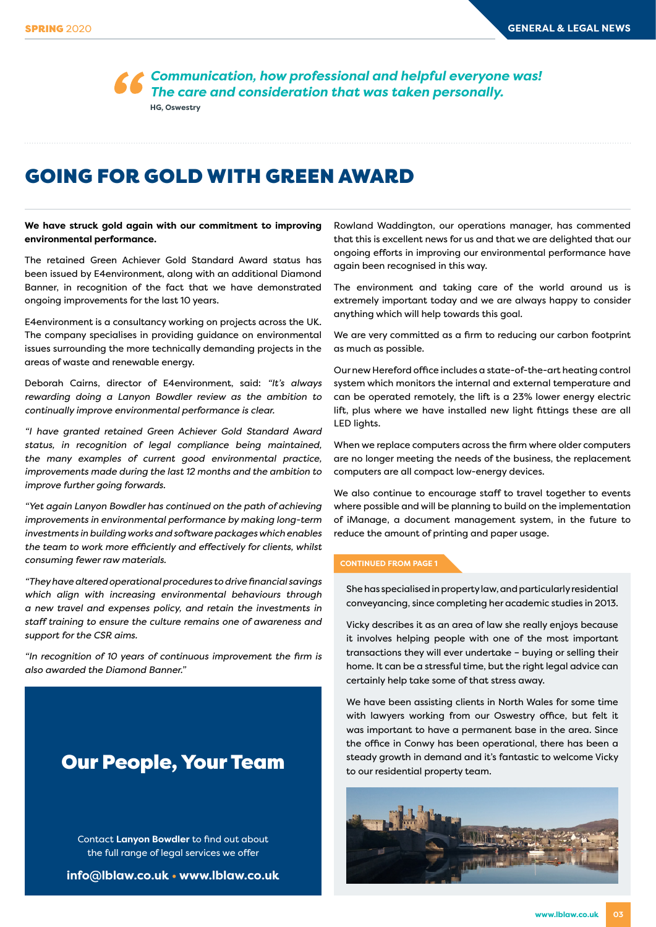*Communication, how professional and helpful everyone was! The care and consideration that was taken personally.*  **HG, Oswestry**

## GOING FOR GOLD WITH GREEN AWARD

**We have struck gold again with our commitment to improving environmental performance.**

The retained Green Achiever Gold Standard Award status has been issued by E4environment, along with an additional Diamond Banner, in recognition of the fact that we have demonstrated ongoing improvements for the last 10 years.

E4environment is a consultancy working on projects across the UK. The company specialises in providing guidance on environmental issues surrounding the more technically demanding projects in the areas of waste and renewable energy.

Deborah Cairns, director of E4environment, said: *"It's always rewarding doing a Lanyon Bowdler review as the ambition to continually improve environmental performance is clear.*

*"I have granted retained Green Achiever Gold Standard Award status, in recognition of legal compliance being maintained, the many examples of current good environmental practice, improvements made during the last 12 months and the ambition to improve further going forwards.*

*"Yet again Lanyon Bowdler has continued on the path of achieving improvements in environmental performance by making long-term investments in building works and software packages which enables the team to work more efficiently and effectively for clients, whilst consuming fewer raw materials.* 

*"They have altered operational procedures to drive financial savings which align with increasing environmental behaviours through a new travel and expenses policy, and retain the investments in staff training to ensure the culture remains one of awareness and support for the CSR aims.*

*"In recognition of 10 years of continuous improvement the firm is also awarded the Diamond Banner."*

### Our People, Your Team

Contact **Lanyon Bowdler** to find out about the full range of legal services we offer

**info@lblaw.co.uk • www.lblaw.co.uk**

Rowland Waddington, our operations manager, has commented that this is excellent news for us and that we are delighted that our ongoing efforts in improving our environmental performance have again been recognised in this way.

The environment and taking care of the world around us is extremely important today and we are always happy to consider anything which will help towards this goal.

We are very committed as a firm to reducing our carbon footprint as much as possible.

Our new Hereford office includes a state-of-the-art heating control system which monitors the internal and external temperature and can be operated remotely, the lift is a 23% lower energy electric lift, plus where we have installed new light fittings these are all LED lights.

When we replace computers across the firm where older computers are no longer meeting the needs of the business, the replacement computers are all compact low-energy devices.

We also continue to encourage staff to travel together to events where possible and will be planning to build on the implementation of iManage, a document management system, in the future to reduce the amount of printing and paper usage.

### **CONTINUED FROM PAGE 1**

She has specialised in property law, and particularly residential conveyancing, since completing her academic studies in 2013.

Vicky describes it as an area of law she really enjoys because it involves helping people with one of the most important transactions they will ever undertake – buying or selling their home. It can be a stressful time, but the right legal advice can certainly help take some of that stress away.

We have been assisting clients in North Wales for some time with lawyers working from our Oswestry office, but felt it was important to have a permanent base in the area. Since the office in Conwy has been operational, there has been a steady growth in demand and it's fantastic to welcome Vicky to our residential property team.